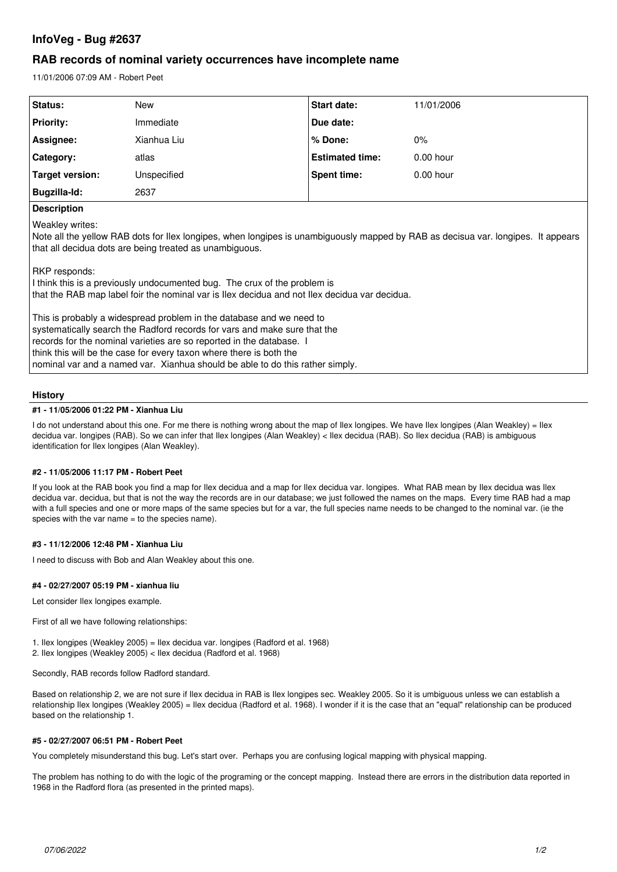# **InfoVeg - Bug #2637**

## **RAB records of nominal variety occurrences have incomplete name**

11/01/2006 07:09 AM - Robert Peet

| <b>Status:</b>   | New         | <b>Start date:</b>     | 11/01/2006  |
|------------------|-------------|------------------------|-------------|
| <b>Priority:</b> | Immediate   | Due date:              |             |
| Assignee:        | Xianhua Liu | l % Done:              | 0%          |
| Category:        | atlas       | <b>Estimated time:</b> | $0.00$ hour |
| Target version:  | Unspecified | <b>Spent time:</b>     | $0.00$ hour |
| Bugzilla-Id:     | 2637        |                        |             |
|                  |             |                        |             |

## **Description**

Weakley writes:

Note all the yellow RAB dots for Ilex longipes, when longipes is unambiguously mapped by RAB as decisua var. longipes. It appears that all decidua dots are being treated as unambiguous.

RKP responds:

I think this is a previously undocumented bug. The crux of the problem is that the RAB map label foir the nominal var is Ilex decidua and not Ilex decidua var decidua.

This is probably a widespread problem in the database and we need to systematically search the Radford records for vars and make sure that the records for the nominal varieties are so reported in the database. I think this will be the case for every taxon where there is both the nominal var and a named var. Xianhua should be able to do this rather simply.

## **History**

## **#1 - 11/05/2006 01:22 PM - Xianhua Liu**

I do not understand about this one. For me there is nothing wrong about the map of Ilex longipes. We have Ilex longipes (Alan Weakley) = Ilex decidua var. longipes (RAB). So we can infer that Ilex longipes (Alan Weakley) < Ilex decidua (RAB). So Ilex decidua (RAB) is ambiguous identification for Ilex longipes (Alan Weakley).

#### **#2 - 11/05/2006 11:17 PM - Robert Peet**

If you look at the RAB book you find a map for Ilex decidua and a map for Ilex decidua var. longipes. What RAB mean by Ilex decidua was Ilex decidua var. decidua, but that is not the way the records are in our database; we just followed the names on the maps. Every time RAB had a map with a full species and one or more maps of the same species but for a var, the full species name needs to be changed to the nominal var. (ie the species with the var name = to the species name).

#### **#3 - 11/12/2006 12:48 PM - Xianhua Liu**

I need to discuss with Bob and Alan Weakley about this one.

#### **#4 - 02/27/2007 05:19 PM - xianhua liu**

Let consider Ilex longipes example.

First of all we have following relationships:

- 1. Ilex longipes (Weakley 2005) = Ilex decidua var. longipes (Radford et al. 1968)
- 2. Ilex longipes (Weakley 2005) < Ilex decidua (Radford et al. 1968)

Secondly, RAB records follow Radford standard.

Based on relationship 2, we are not sure if Ilex decidua in RAB is Ilex longipes sec. Weakley 2005. So it is umbiguous unless we can establish a relationship Ilex longipes (Weakley 2005) = Ilex decidua (Radford et al. 1968). I wonder if it is the case that an "equal" relationship can be produced based on the relationship 1.

#### **#5 - 02/27/2007 06:51 PM - Robert Peet**

You completely misunderstand this bug. Let's start over. Perhaps you are confusing logical mapping with physical mapping.

The problem has nothing to do with the logic of the programing or the concept mapping. Instead there are errors in the distribution data reported in 1968 in the Radford flora (as presented in the printed maps).